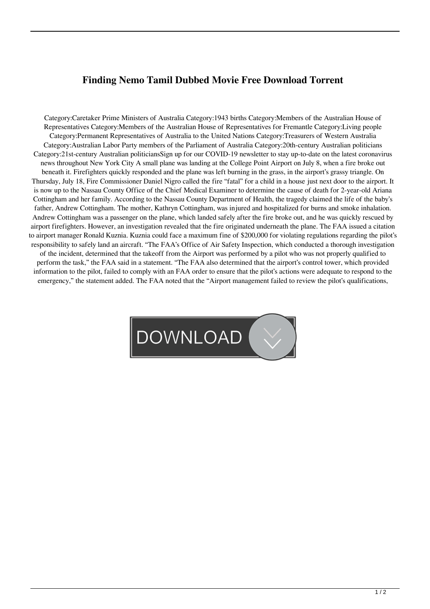## **Finding Nemo Tamil Dubbed Movie Free Download Torrent**

Category:Caretaker Prime Ministers of Australia Category:1943 births Category:Members of the Australian House of Representatives Category:Members of the Australian House of Representatives for Fremantle Category:Living people Category:Permanent Representatives of Australia to the United Nations Category:Treasurers of Western Australia Category:Australian Labor Party members of the Parliament of Australia Category:20th-century Australian politicians Category:21st-century Australian politiciansSign up for our COVID-19 newsletter to stay up-to-date on the latest coronavirus news throughout New York City A small plane was landing at the College Point Airport on July 8, when a fire broke out beneath it. Firefighters quickly responded and the plane was left burning in the grass, in the airport's grassy triangle. On Thursday, July 18, Fire Commissioner Daniel Nigro called the fire "fatal" for a child in a house just next door to the airport. It is now up to the Nassau County Office of the Chief Medical Examiner to determine the cause of death for 2-year-old Ariana Cottingham and her family. According to the Nassau County Department of Health, the tragedy claimed the life of the baby's father, Andrew Cottingham. The mother, Kathryn Cottingham, was injured and hospitalized for burns and smoke inhalation. Andrew Cottingham was a passenger on the plane, which landed safely after the fire broke out, and he was quickly rescued by airport firefighters. However, an investigation revealed that the fire originated underneath the plane. The FAA issued a citation to airport manager Ronald Kuznia. Kuznia could face a maximum fine of \$200,000 for violating regulations regarding the pilot's responsibility to safely land an aircraft. "The FAA's Office of Air Safety Inspection, which conducted a thorough investigation of the incident, determined that the takeoff from the Airport was performed by a pilot who was not properly qualified to perform the task," the FAA said in a statement. "The FAA also determined that the airport's control tower, which provided information to the pilot, failed to comply with an FAA order to ensure that the pilot's actions were adequate to respond to the emergency," the statement added. The FAA noted that the "Airport management failed to review the pilot's qualifications,